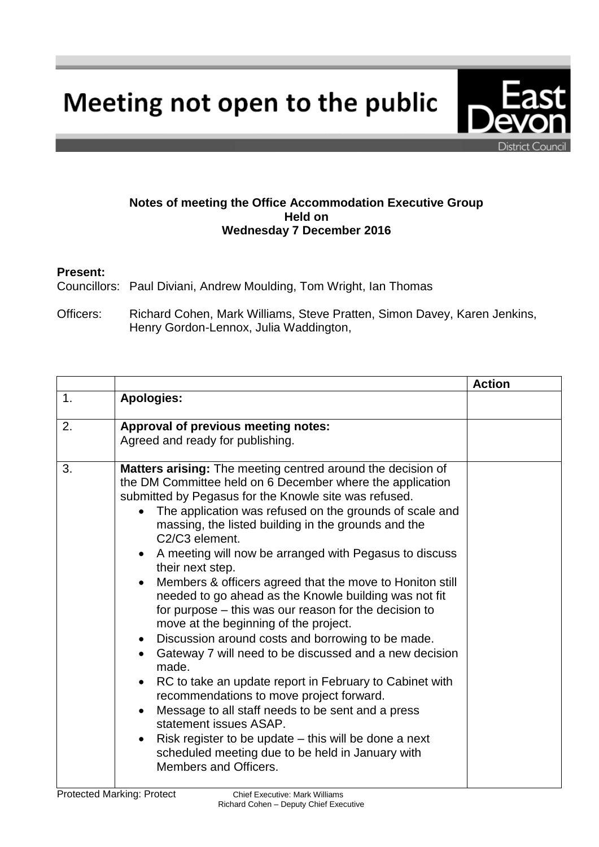Meeting not open to the public



## **Notes of meeting the Office Accommodation Executive Group Held on Wednesday 7 December 2016**

## **Present:**

Councillors: Paul Diviani, Andrew Moulding, Tom Wright, Ian Thomas

Officers: Richard Cohen, Mark Williams, Steve Pratten, Simon Davey, Karen Jenkins, Henry Gordon-Lennox, Julia Waddington,

|                |                                                                                                                                                                                                                                                                                                                                                                                                                                                                                                                                                                                                                                                                                                                                                                                                                                                                                                                                                                                                                                                                                                                                                                           | <b>Action</b> |
|----------------|---------------------------------------------------------------------------------------------------------------------------------------------------------------------------------------------------------------------------------------------------------------------------------------------------------------------------------------------------------------------------------------------------------------------------------------------------------------------------------------------------------------------------------------------------------------------------------------------------------------------------------------------------------------------------------------------------------------------------------------------------------------------------------------------------------------------------------------------------------------------------------------------------------------------------------------------------------------------------------------------------------------------------------------------------------------------------------------------------------------------------------------------------------------------------|---------------|
| $\mathbf{1}$ . | <b>Apologies:</b>                                                                                                                                                                                                                                                                                                                                                                                                                                                                                                                                                                                                                                                                                                                                                                                                                                                                                                                                                                                                                                                                                                                                                         |               |
| 2.             | Approval of previous meeting notes:<br>Agreed and ready for publishing.                                                                                                                                                                                                                                                                                                                                                                                                                                                                                                                                                                                                                                                                                                                                                                                                                                                                                                                                                                                                                                                                                                   |               |
| 3.             | Matters arising: The meeting centred around the decision of<br>the DM Committee held on 6 December where the application<br>submitted by Pegasus for the Knowle site was refused.<br>The application was refused on the grounds of scale and<br>$\bullet$<br>massing, the listed building in the grounds and the<br>C2/C3 element.<br>A meeting will now be arranged with Pegasus to discuss<br>their next step.<br>Members & officers agreed that the move to Honiton still<br>$\bullet$<br>needed to go ahead as the Knowle building was not fit<br>for purpose – this was our reason for the decision to<br>move at the beginning of the project.<br>Discussion around costs and borrowing to be made.<br>$\bullet$<br>Gateway 7 will need to be discussed and a new decision<br>$\bullet$<br>made.<br>RC to take an update report in February to Cabinet with<br>$\bullet$<br>recommendations to move project forward.<br>Message to all staff needs to be sent and a press<br>$\bullet$<br>statement issues ASAP.<br>Risk register to be update – this will be done a next<br>$\bullet$<br>scheduled meeting due to be held in January with<br>Members and Officers. |               |